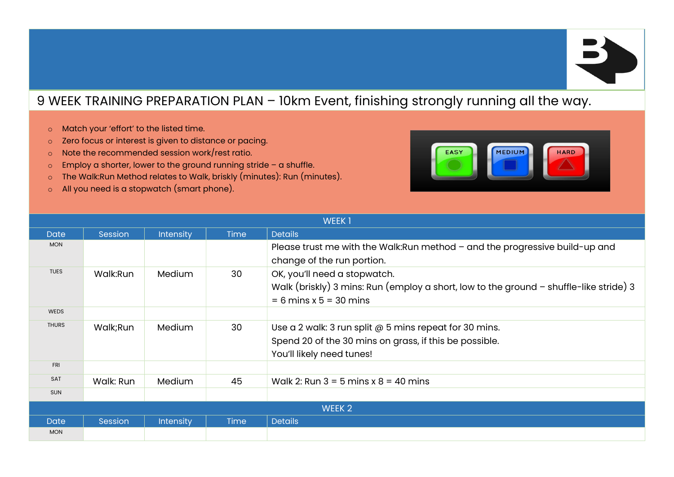

## 9 WEEK TRAINING PREPARATION PLAN – 10km Event, finishing strongly running all the way.

- o Match your 'effort' to the listed time.
- o Zero focus or interest is given to distance or pacing.
- o Note the recommended session work/rest ratio.
- $\circ$  Employ a shorter, lower to the ground running stride a shuffle.
- o The Walk:Run Method relates to Walk, briskly (minutes): Run (minutes).
- o All you need is a stopwatch (smart phone).



| <b>WEEK1</b>      |           |                  |             |                                                                                                                                                      |  |
|-------------------|-----------|------------------|-------------|------------------------------------------------------------------------------------------------------------------------------------------------------|--|
| <b>Date</b>       | Session   | <b>Intensity</b> | <b>Time</b> | <b>Details</b>                                                                                                                                       |  |
| <b>MON</b>        |           |                  |             | Please trust me with the Walk: Run method - and the progressive build-up and<br>change of the run portion.                                           |  |
| <b>TUES</b>       | Walk:Run  | Medium           | 30          | OK, you'll need a stopwatch.<br>Walk (briskly) 3 mins: Run (employ a short, low to the ground $-$ shuffle-like stride) 3<br>$= 6$ mins x 5 = 30 mins |  |
| <b>WEDS</b>       |           |                  |             |                                                                                                                                                      |  |
| <b>THURS</b>      | Walk;Run  | Medium           | 30          | Use a 2 walk: 3 run split @ 5 mins repeat for 30 mins.<br>Spend 20 of the 30 mins on grass, if this be possible.<br>You'll likely need tunes!        |  |
| <b>FRI</b>        |           |                  |             |                                                                                                                                                      |  |
| <b>SAT</b>        | Walk: Run | Medium           | 45          | Walk 2: Run $3 = 5$ mins x $8 = 40$ mins                                                                                                             |  |
| <b>SUN</b>        |           |                  |             |                                                                                                                                                      |  |
| WEEK <sub>2</sub> |           |                  |             |                                                                                                                                                      |  |
| <b>Date</b>       | Session   | <b>Intensity</b> | <b>Time</b> | <b>Details</b>                                                                                                                                       |  |
| <b>MON</b>        |           |                  |             |                                                                                                                                                      |  |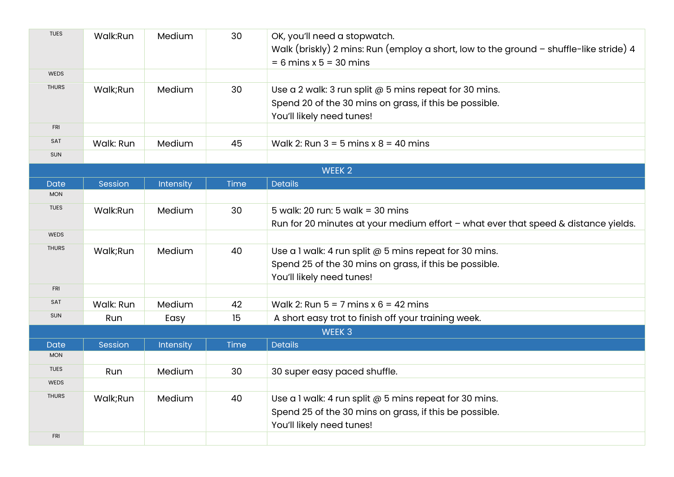| <b>TUES</b>  | Walk:Run  | Medium    | 30          | OK, you'll need a stopwatch.                                                             |
|--------------|-----------|-----------|-------------|------------------------------------------------------------------------------------------|
|              |           |           |             | Walk (briskly) 2 mins: Run (employ a short, low to the ground $-$ shuffle-like stride) 4 |
|              |           |           |             | $= 6$ mins x 5 = 30 mins                                                                 |
| <b>WEDS</b>  |           |           |             |                                                                                          |
| <b>THURS</b> | Walk;Run  | Medium    | 30          | Use a 2 walk: 3 run split @ 5 mins repeat for 30 mins.                                   |
|              |           |           |             | Spend 20 of the 30 mins on grass, if this be possible.                                   |
|              |           |           |             | You'll likely need tunes!                                                                |
| <b>FRI</b>   |           |           |             |                                                                                          |
| SAT          | Walk: Run | Medium    | 45          | Walk 2: Run $3 = 5$ mins $x 8 = 40$ mins                                                 |
| <b>SUN</b>   |           |           |             |                                                                                          |
|              |           |           |             | WEEK 2                                                                                   |
| <b>Date</b>  | Session   | Intensity | Time        | <b>Details</b>                                                                           |
| <b>MON</b>   |           |           |             |                                                                                          |
| <b>TUES</b>  | Walk:Run  | Medium    | 30          | 5 walk: 20 run: 5 walk = 30 mins                                                         |
|              |           |           |             | Run for 20 minutes at your medium effort - what ever that speed & distance yields.       |
| <b>WEDS</b>  |           |           |             |                                                                                          |
| <b>THURS</b> | Walk;Run  | Medium    | 40          | Use a 1 walk: 4 run split @ 5 mins repeat for 30 mins.                                   |
|              |           |           |             | Spend 25 of the 30 mins on grass, if this be possible.                                   |
|              |           |           |             | You'll likely need tunes!                                                                |
| <b>FRI</b>   |           |           |             |                                                                                          |
| SAT          | Walk: Run | Medium    | 42          | Walk 2: Run $5 = 7$ mins x $6 = 42$ mins                                                 |
| <b>SUN</b>   | Run       | Easy      | 15          | A short easy trot to finish off your training week.                                      |
|              |           |           |             | WEEK <sub>3</sub>                                                                        |
| <b>Date</b>  | Session   | Intensity | <b>Time</b> | <b>Details</b>                                                                           |
| <b>MON</b>   |           |           |             |                                                                                          |
| <b>TUES</b>  | Run       | Medium    | 30          | 30 super easy paced shuffle.                                                             |
| <b>WEDS</b>  |           |           |             |                                                                                          |
| <b>THURS</b> | Walk;Run  | Medium    | 40          | Use a 1 walk: 4 run split @ 5 mins repeat for 30 mins.                                   |
|              |           |           |             | Spend 25 of the 30 mins on grass, if this be possible.                                   |
|              |           |           |             | You'll likely need tunes!                                                                |
| <b>FRI</b>   |           |           |             |                                                                                          |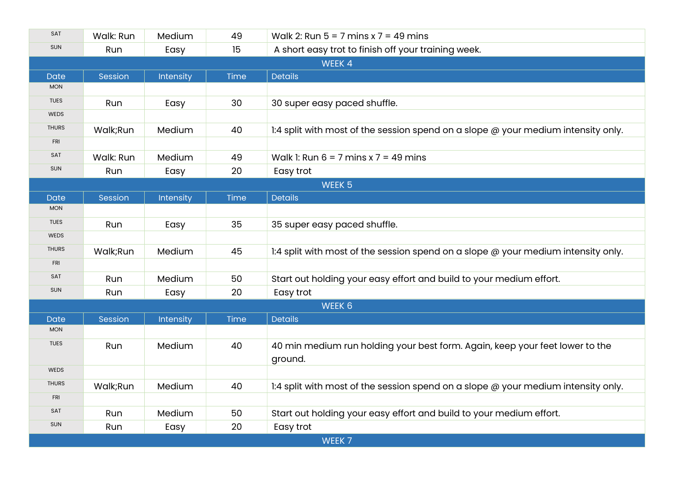| SAT               | Walk: Run | Medium    | 49   | Walk 2: Run $5 = 7$ mins x $7 = 49$ mins                                                 |  |  |
|-------------------|-----------|-----------|------|------------------------------------------------------------------------------------------|--|--|
| <b>SUN</b>        | Run       | Easy      | 15   | A short easy trot to finish off your training week.                                      |  |  |
| WEEK 4            |           |           |      |                                                                                          |  |  |
| <b>Date</b>       | Session   | Intensity | Time | <b>Details</b>                                                                           |  |  |
| <b>MON</b>        |           |           |      |                                                                                          |  |  |
| <b>TUES</b>       | Run       | Easy      | 30   | 30 super easy paced shuffle.                                                             |  |  |
| <b>WEDS</b>       |           |           |      |                                                                                          |  |  |
| <b>THURS</b>      | Walk;Run  | Medium    | 40   | 1:4 split with most of the session spend on a slope @ your medium intensity only.        |  |  |
| <b>FRI</b>        |           |           |      |                                                                                          |  |  |
| SAT               | Walk: Run | Medium    | 49   | Walk 1: Run $6 = 7$ mins x $7 = 49$ mins                                                 |  |  |
| <b>SUN</b>        | Run       | Easy      | 20   | Easy trot                                                                                |  |  |
| WEEK <sub>5</sub> |           |           |      |                                                                                          |  |  |
| <b>Date</b>       | Session   | Intensity | Time | <b>Details</b>                                                                           |  |  |
| <b>MON</b>        |           |           |      |                                                                                          |  |  |
| <b>TUES</b>       | Run       | Easy      | 35   | 35 super easy paced shuffle.                                                             |  |  |
| <b>WEDS</b>       |           |           |      |                                                                                          |  |  |
| <b>THURS</b>      | Walk;Run  | Medium    | 45   | 1:4 split with most of the session spend on a slope $\omega$ your medium intensity only. |  |  |
| <b>FRI</b>        |           |           |      |                                                                                          |  |  |
| SAT               | Run       | Medium    | 50   | Start out holding your easy effort and build to your medium effort.                      |  |  |
| <b>SUN</b>        | Run       | Easy      | 20   | Easy trot                                                                                |  |  |
| WEEK 6            |           |           |      |                                                                                          |  |  |
| <b>Date</b>       | Session   | Intensity | Time | <b>Details</b>                                                                           |  |  |
| <b>MON</b>        |           |           |      |                                                                                          |  |  |
| <b>TUES</b>       | Run       | Medium    | 40   | 40 min medium run holding your best form. Again, keep your feet lower to the<br>ground.  |  |  |
| WEDS              |           |           |      |                                                                                          |  |  |
| <b>THURS</b>      | Walk;Run  | Medium    | 40   | 1:4 split with most of the session spend on a slope @ your medium intensity only.        |  |  |
| <b>FRI</b>        |           |           |      |                                                                                          |  |  |
| SAT               | Run       | Medium    | 50   | Start out holding your easy effort and build to your medium effort.                      |  |  |
| <b>SUN</b>        | Run       | Easy      | 20   | Easy trot                                                                                |  |  |
| WEEK 7            |           |           |      |                                                                                          |  |  |